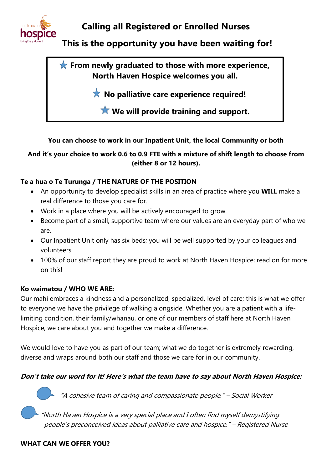

# **Calling all Registered or Enrolled Nurses**

**This is the opportunity you have been waiting for!**

**From newly graduated to those with more experience, North Haven Hospice welcomes you all.**

**X** No palliative care experience required!

**We will provide training and support.**

## **You can choose to work in our Inpatient Unit, the local Community or both**

## **And it's your choice to work 0.6 to 0.9 FTE with a mixture of shift length to choose from (either 8 or 12 hours).**

## **Te a hua o Te Turunga / THE NATURE OF THE POSITION**

- An opportunity to develop specialist skills in an area of practice where you **WILL** make a real difference to those you care for.
- Work in a place where you will be actively encouraged to grow.
- Become part of a small, supportive team where our values are an everyday part of who we are.
- Our Inpatient Unit only has six beds; you will be well supported by your colleagues and volunteers.
- 100% of our staff report they are proud to work at North Haven Hospice; read on for more on this!

### **Ko waimatou / WHO WE ARE:**

Our mahi embraces a kindness and a personalized, specialized, level of care; this is what we offer to everyone we have the privilege of walking alongside. Whether you are a patient with a lifelimiting condition, their family/whanau, or one of our members of staff here at North Haven Hospice, we care about you and together we make a difference.

We would love to have you as part of our team; what we do together is extremely rewarding, diverse and wraps around both our staff and those we care for in our community.

## **Don't take our word for it! Here's what the team have to say about North Haven Hospice:**

"A cohesive team of caring and compassionate people." – Social Worker

 "North Haven Hospice is a very special place and I often find myself demystifying people's preconceived ideas about palliative care and hospice." – Registered Nurse

### **WHAT CAN WE OFFER YOU?**